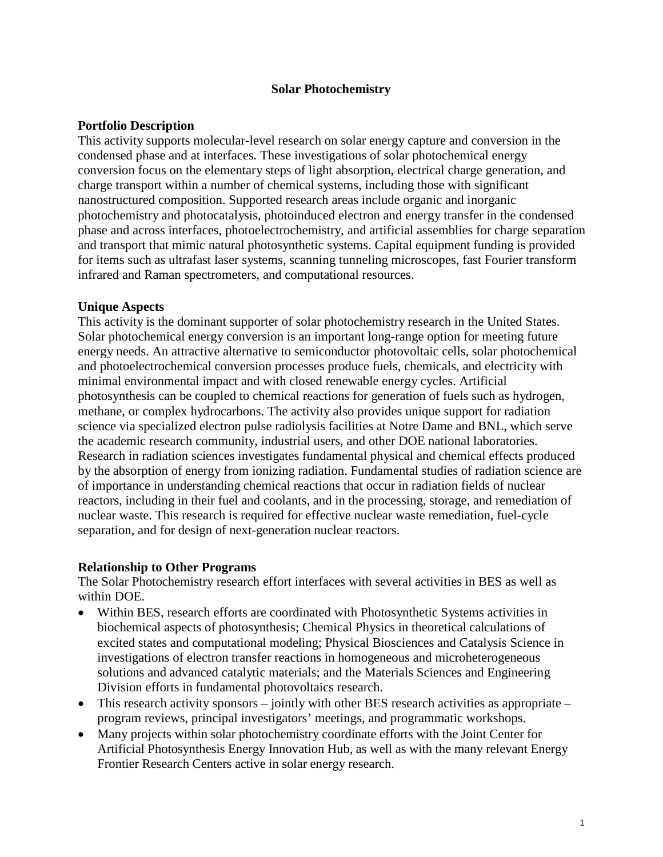#### **Solar Photochemistry**

#### **Portfolio Description**

This activity supports molecular-level research on solar energy capture and conversion in the condensed phase and at interfaces. These investigations of solar photochemical energy conversion focus on the elementary steps of light absorption, electrical charge generation, and charge transport within a number of chemical systems, including those with significant nanostructured composition. Supported research areas include organic and inorganic photochemistry and photocatalysis, photoinduced electron and energy transfer in the condensed phase and across interfaces, photoelectrochemistry, and artificial assemblies for charge separation and transport that mimic natural photosynthetic systems. Capital equipment funding is provided for items such as ultrafast laser systems, scanning tunneling microscopes, fast Fourier transform infrared and Raman spectrometers, and computational resources.

#### **Unique Aspects**

This activity is the dominant supporter of solar photochemistry research in the United States. Solar photochemical energy conversion is an important long-range option for meeting future energy needs. An attractive alternative to semiconductor photovoltaic cells, solar photochemical and photoelectrochemical conversion processes produce fuels, chemicals, and electricity with minimal environmental impact and with closed renewable energy cycles. Artificial photosynthesis can be coupled to chemical reactions for generation of fuels such as hydrogen, methane, or complex hydrocarbons. The activity also provides unique support for radiation science via specialized electron pulse radiolysis facilities at Notre Dame and BNL, which serve the academic research community, industrial users, and other DOE national laboratories. Research in radiation sciences investigates fundamental physical and chemical effects produced by the absorption of energy from ionizing radiation. Fundamental studies of radiation science are of importance in understanding chemical reactions that occur in radiation fields of nuclear reactors, including in their fuel and coolants, and in the processing, storage, and remediation of nuclear waste. This research is required for effective nuclear waste remediation, fuel-cycle separation, and for design of next-generation nuclear reactors.

#### **Relationship to Other Programs**

The Solar Photochemistry research effort interfaces with several activities in BES as well as within DOE.

- Within BES, research efforts are coordinated with Photosynthetic Systems activities in biochemical aspects of photosynthesis; Chemical Physics in theoretical calculations of excited states and computational modeling; Physical Biosciences and Catalysis Science in investigations of electron transfer reactions in homogeneous and microheterogeneous solutions and advanced catalytic materials; and the Materials Sciences and Engineering Division efforts in fundamental photovoltaics research.
- This research activity sponsors jointly with other BES research activities as appropriate program reviews, principal investigators' meetings, and programmatic workshops.
- Many projects within solar photochemistry coordinate efforts with the Joint Center for Artificial Photosynthesis Energy Innovation Hub, as well as with the many relevant Energy Frontier Research Centers active in solar energy research.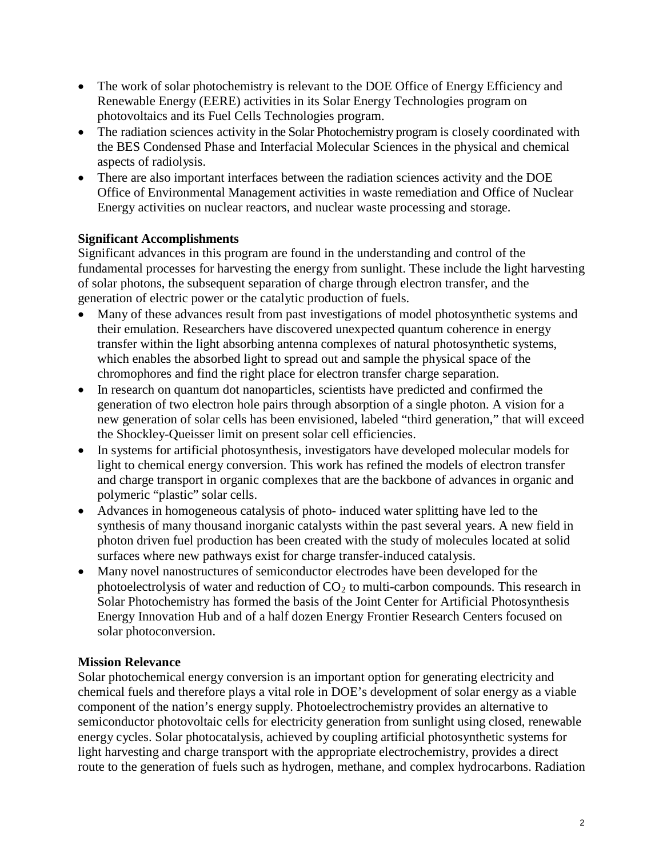- The work of solar photochemistry is relevant to the DOE Office of Energy Efficiency and Renewable Energy (EERE) activities in its Solar Energy Technologies program on photovoltaics and its Fuel Cells Technologies program.
- The radiation sciences activity in the Solar Photochemistry program is closely coordinated with the BES Condensed Phase and Interfacial Molecular Sciences in the physical and chemical aspects of radiolysis.
- There are also important interfaces between the radiation sciences activity and the DOE Office of Environmental Management activities in waste remediation and Office of Nuclear Energy activities on nuclear reactors, and nuclear waste processing and storage.

# **Significant Accomplishments**

Significant advances in this program are found in the understanding and control of the fundamental processes for harvesting the energy from sunlight. These include the light harvesting of solar photons, the subsequent separation of charge through electron transfer, and the generation of electric power or the catalytic production of fuels.

- Many of these advances result from past investigations of model photosynthetic systems and their emulation. Researchers have discovered unexpected quantum coherence in energy transfer within the light absorbing antenna complexes of natural photosynthetic systems, which enables the absorbed light to spread out and sample the physical space of the chromophores and find the right place for electron transfer charge separation.
- In research on quantum dot nanoparticles, scientists have predicted and confirmed the generation of two electron hole pairs through absorption of a single photon. A vision for a new generation of solar cells has been envisioned, labeled "third generation," that will exceed the Shockley-Queisser limit on present solar cell efficiencies.
- In systems for artificial photosynthesis, investigators have developed molecular models for light to chemical energy conversion. This work has refined the models of electron transfer and charge transport in organic complexes that are the backbone of advances in organic and polymeric "plastic" solar cells.
- Advances in homogeneous catalysis of photo- induced water splitting have led to the synthesis of many thousand inorganic catalysts within the past several years. A new field in photon driven fuel production has been created with the study of molecules located at solid surfaces where new pathways exist for charge transfer-induced catalysis.
- Many novel nanostructures of semiconductor electrodes have been developed for the photoelectrolysis of water and reduction of  $CO<sub>2</sub>$  to multi-carbon compounds. This research in Solar Photochemistry has formed the basis of the Joint Center for Artificial Photosynthesis Energy Innovation Hub and of a half dozen Energy Frontier Research Centers focused on solar photoconversion.

# **Mission Relevance**

Solar photochemical energy conversion is an important option for generating electricity and chemical fuels and therefore plays a vital role in DOE's development of solar energy as a viable component of the nation's energy supply. Photoelectrochemistry provides an alternative to semiconductor photovoltaic cells for electricity generation from sunlight using closed, renewable energy cycles. Solar photocatalysis, achieved by coupling artificial photosynthetic systems for light harvesting and charge transport with the appropriate electrochemistry, provides a direct route to the generation of fuels such as hydrogen, methane, and complex hydrocarbons. Radiation